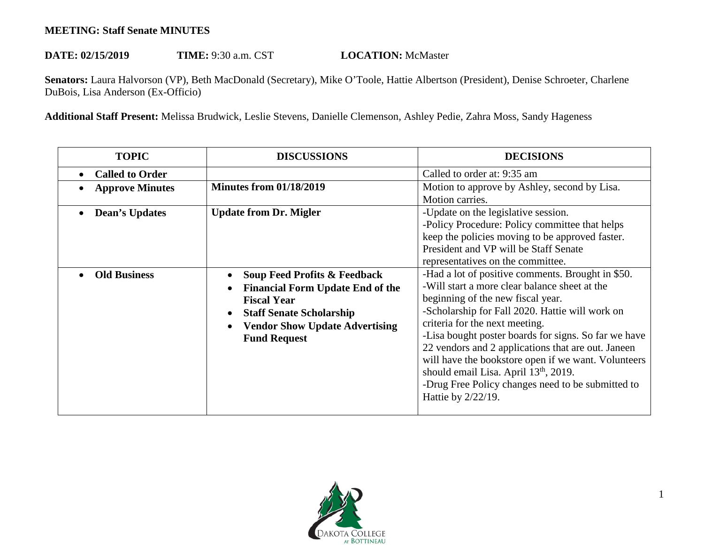## **MEETING: Staff Senate MINUTES**

## DATE: 02/15/2019 TIME: 9:30 a.m. CST **LOCATION:** McMaster

**Senators:** Laura Halvorson (VP), Beth MacDonald (Secretary), Mike O'Toole, Hattie Albertson (President), Denise Schroeter, Charlene DuBois, Lisa Anderson (Ex-Officio)

**Additional Staff Present:** Melissa Brudwick, Leslie Stevens, Danielle Clemenson, Ashley Pedie, Zahra Moss, Sandy Hageness

| <b>TOPIC</b>           | <b>DISCUSSIONS</b>                                                                                                                                                                                          | <b>DECISIONS</b>                                                                                                                                                                                                                                                                                                                                                                                                                                                                                                                  |
|------------------------|-------------------------------------------------------------------------------------------------------------------------------------------------------------------------------------------------------------|-----------------------------------------------------------------------------------------------------------------------------------------------------------------------------------------------------------------------------------------------------------------------------------------------------------------------------------------------------------------------------------------------------------------------------------------------------------------------------------------------------------------------------------|
| <b>Called to Order</b> |                                                                                                                                                                                                             | Called to order at: 9:35 am                                                                                                                                                                                                                                                                                                                                                                                                                                                                                                       |
| <b>Approve Minutes</b> | <b>Minutes from 01/18/2019</b>                                                                                                                                                                              | Motion to approve by Ashley, second by Lisa.<br>Motion carries.                                                                                                                                                                                                                                                                                                                                                                                                                                                                   |
| Dean's Updates         | <b>Update from Dr. Migler</b>                                                                                                                                                                               | -Update on the legislative session.<br>-Policy Procedure: Policy committee that helps<br>keep the policies moving to be approved faster.<br>President and VP will be Staff Senate<br>representatives on the committee.                                                                                                                                                                                                                                                                                                            |
| <b>Old Business</b>    | <b>Soup Feed Profits &amp; Feedback</b><br><b>Financial Form Update End of the</b><br><b>Fiscal Year</b><br><b>Staff Senate Scholarship</b><br><b>Vendor Show Update Advertising</b><br><b>Fund Request</b> | -Had a lot of positive comments. Brought in \$50.<br>-Will start a more clear balance sheet at the<br>beginning of the new fiscal year.<br>-Scholarship for Fall 2020. Hattie will work on<br>criteria for the next meeting.<br>-Lisa bought poster boards for signs. So far we have<br>22 vendors and 2 applications that are out. Janeen<br>will have the bookstore open if we want. Volunteers<br>should email Lisa. April 13 <sup>th</sup> , 2019.<br>-Drug Free Policy changes need to be submitted to<br>Hattie by 2/22/19. |